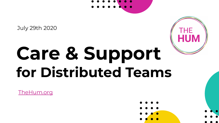

July 29th 2020

# **Care & Support for Distributed Teams**

[TheHum.org](https://www.thehum.org/)





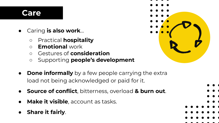### **Care**

- Caring **is also work**...
	- Practical **hospitality**
	- **Emotional** work
	- Gestures of **consideration**
	- Supporting **people's development**
- **Done informally** by a few people carrying the extra load not being acknowledged or paid for it.
- **Source of conflict**, bitterness, overload & burn out.
- **Make it visible**, account as tasks.
- **Share it fairly.**



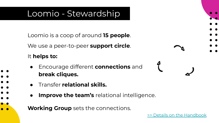## Loomio - Stewardship

Loomio is a coop of around **15 people**.

We use a peer-to-peer **support circle**.

#### It **helps to:**

- Encourage different **connections** and **break cliques.**
- Transfer **relational skills.**
- **Improve the team's** relational intelligence.
- **Working Group** sets the connections.

 $\begin{array}{ccc} & \mathcal{E} & & \mathcal{E} & & \mathcal{E} & & \mathcal{E} & & \mathcal{E} & & \mathcal{E} & & \mathcal{E} & & \mathcal{E} & & \mathcal{E} & & \mathcal{E} & & \mathcal{E} & & \mathcal{E} & & \mathcal{E} & & \mathcal{E} & & \mathcal{E} & & \mathcal{E} & & \mathcal{E} & & \mathcal{E} & & \mathcal{E} & & \mathcal{E} & & \mathcal{E} & & \mathcal{E} & & \mathcal{E} & & \mathcal{E} & & \mathcal{E} & & \mathcal{E} & & \mathcal{$ 

 $\sim$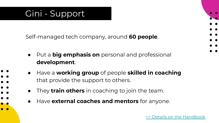## Gini - Support

Self-managed tech company, around **60 people**.

- Put a **big emphasis on** personal and professional **development**.
- Have a **working group** of people **skilled in coaching** that provide the support to others.
- They **train others** in coaching to join the team.
- Have **external coaches and mentors** for anyone.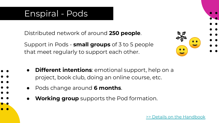## Enspiral - Pods

Distributed network of around **250 people**.

Support in Pods - **small groups** of 3 to 5 people that meet regularly to support each other.

- **Different intentions: emotional support, help on a** project, book club, doing an online course, etc.
	- Pods change around **6 months**.
	- **Working group** supports the Pod formation.



Details on the Handbook